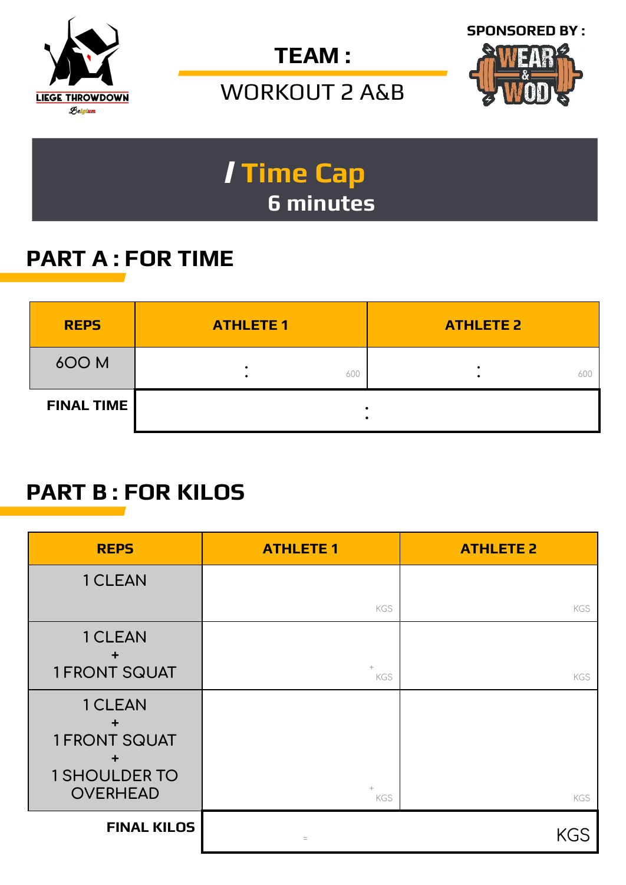







## / **Time Cap 6 minutes**

## **PART A : FOR TIME**

| <b>REPS</b>       | <b>ATHLETE 1</b> | <b>ATHLETE 2</b> |
|-------------------|------------------|------------------|
| 600 M             | 600              | 600              |
| <b>FINAL TIME</b> |                  |                  |

#### **PART B : FOR KILOS**

| <b>REPS</b>                    | <b>ATHLETE 1</b> | <b>ATHLETE 2</b> |
|--------------------------------|------------------|------------------|
| 1 CLEAN                        |                  |                  |
|                                | KGS              | KGS              |
| 1 CLEAN<br>$\div$              |                  |                  |
| <b>1 FRONT SQUAT</b>           | KGS              | KGS              |
| 1 CLEAN                        |                  |                  |
| $\div$<br><b>1 FRONT SQUAT</b> |                  |                  |
| <b>1 SHOULDER TO</b>           |                  |                  |
| <b>OVERHEAD</b>                | $+$<br>KGS       | <b>KGS</b>       |
| <b>FINAL KILOS</b>             | $\equiv$         | <b>KGS</b>       |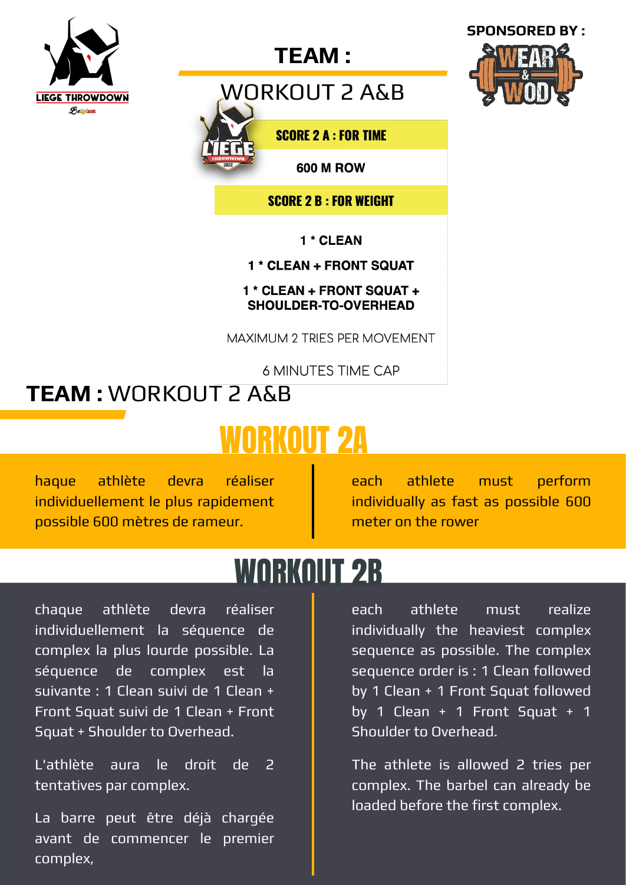

#### **TEAM :**

WORKOUT 2 A&B



**SCORE 2 A : FOR TIME** 

**600 M ROW** 

**SCORE 2 B : FOR WEIGHT** 

1 \* CLEAN

#### 1 \* CLEAN + FRONT SQUAT

1 \* CLEAN + FRONT SQUAT + **SHOULDER-TO-OVERHEAD** 

MAXIMUM 2 TRIES PER MOVEMENT

**6 MINUTES TIME CAP** 

## **TEAM :** WORKOUT 2 A&B

# WORKOUT 2A

haque athlète devra réaliser individuellement le plus rapidement possible 600 mètres de rameur.

each athlete must perform individually as fast as possible 600 meter on the rower

## WORKOUT 2B

chaque athlète devra réaliser individuellement la séquence de complex la plus lourde possible. La séquence de complex est la suivante : 1 Clean suivi de 1 Clean + Front Squat suivi de 1 Clean + Front Squat + Shoulder to Overhead.

L'athlète aura le droit de 2 tentatives par complex.

La barre peut être déjà chargée avant de commencer le premier complex,

each athlete must realize individually the heaviest complex sequence as possible. The complex sequence order is : 1 Clean followed by 1 Clean + 1 Front Squat followed by 1 Clean  $+$  1 Front Squat  $+$  1 Shoulder to Overhead.

The athlete is allowed 2 tries per complex. The barbel can already be loaded before the first complex.

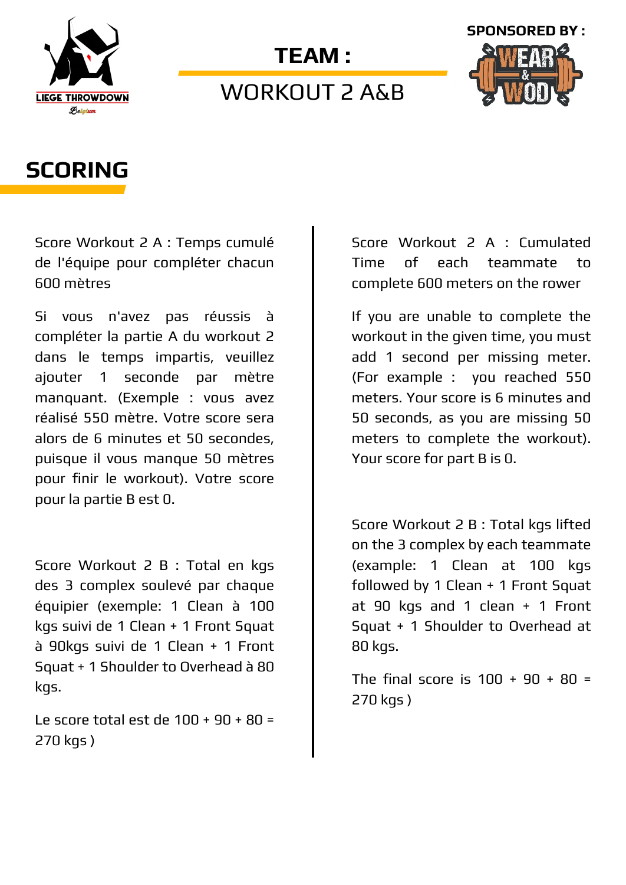

#### **TEAM :**

#### WORKOUT 2 A&B



#### **SCORING**

Score Workout 2 A : Temps cumulé de l'équipe pour compléter chacun 600 mètres

Si vous n'avez pas réussis à compléter la partie A du workout 2 dans le temps impartis, veuillez ajouter 1 seconde par mètre manquant. (Exemple : vous avez réalisé 550 mètre. Votre score sera alors de 6 minutes et 50 secondes, puisque il vous manque 50 mètres pour finir le workout). Votre score pour la partie B est 0.

Score Workout 2 B : Total en kgs des 3 complex soulevé par chaque équipier (exemple: 1 Clean à 100 kgs suivi de 1 Clean + 1 Front Squat à 90kgs suivi de 1 Clean + 1 Front Squat + 1 Shoulder to Overhead à 80 kgs.

Le score total est de 100 + 90 + 80 = 270 kgs )

Score Workout 2 A : Cumulated Time of each teammate to complete 600 meters on the rower

If you are unable to complete the workout in the given time, you must add 1 second per missing meter. (For example : you reached 550 meters. Your score is 6 minutes and 50 seconds, as you are missing 50 meters to complete the workout). Your score for part B is 0.

Score Workout 2 B : Total kgs lifted on the 3 complex by each teammate (example: 1 Clean at 100 kgs followed by 1 Clean + 1 Front Squat at 90 kgs and 1 clean + 1 Front Squat + 1 Shoulder to Overhead at 80 kgs.

The final score is  $100 + 90 + 80 =$ 270 kgs )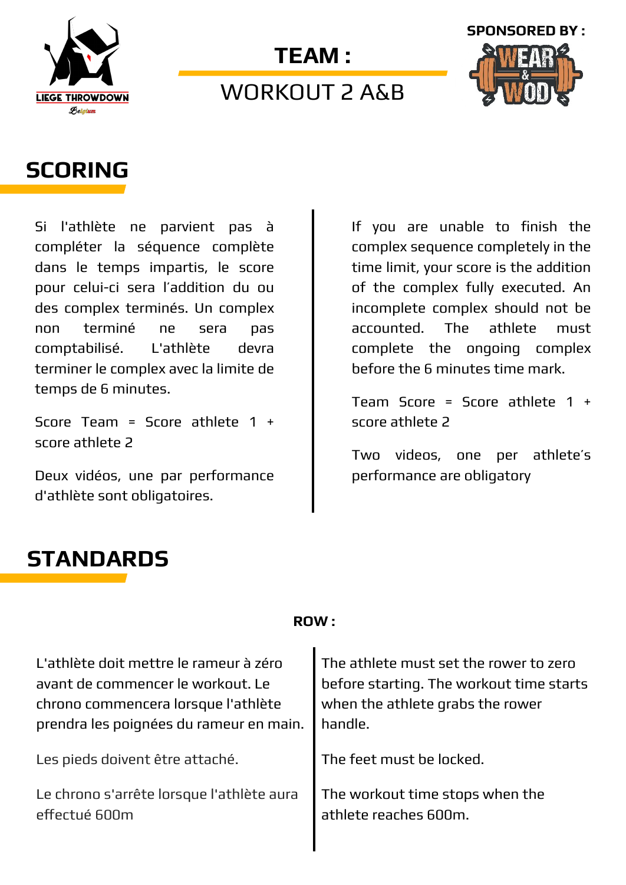

## **TEAM :**  WORKOUT 2 A&B



#### **SCORING**

Si l'athlète ne parvient pas à compléter la séquence complète dans le temps impartis, le score pour celui-ci sera l'addition du ou des complex terminés. Un complex non terminé ne sera pas comptabilisé. L'athlète devra terminer le complex avec la limite de temps de 6 minutes.

Score Team = Score athlete  $1 +$ score athlete 2

Deux vidéos, une par performance d'athlète sont obligatoires.

If you are unable to finish the complex sequence completely in the time limit, your score is the addition of the complex fully executed. An incomplete complex should not be accounted. The athlete must complete the ongoing complex before the 6 minutes time mark.

Team Score = Score athlete 1 + score athlete 2

Two videos, one per athlete's performance are obligatory

## **STANDARDS**

#### **ROW :**

L'athlète doit mettre le rameur à zéro avant de commencer le workout. Le chrono commencera lorsque l'athlète prendra les poignées du rameur en main.

Les pieds doivent être attaché.

Le chrono s'arrête lorsque l'athlète aura effectué 600m

The athlete must set the rower to zero before starting. The workout time starts when the athlete grabs the rower handle.

The feet must be locked.

The workout time stops when the athlete reaches 600m.